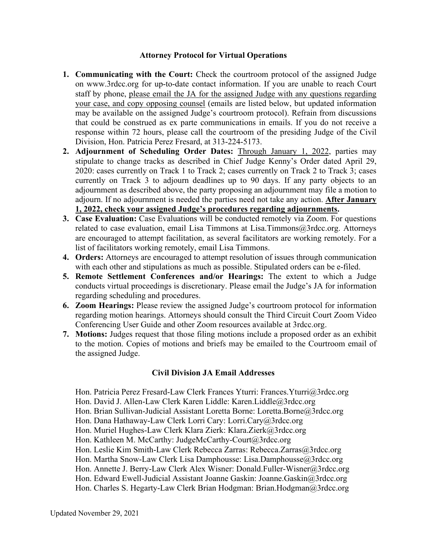## **Attorney Protocol for Virtual Operations**

- **1. Communicating with the Court:** Check the courtroom protocol of the assigned Judge on www.3rdcc.org for up-to-date contact information. If you are unable to reach Court staff by phone, please email the JA for the assigned Judge with any questions regarding your case, and copy opposing counsel (emails are listed below, but updated information may be available on the assigned Judge's courtroom protocol). Refrain from discussions that could be construed as ex parte communications in emails. If you do not receive a response within 72 hours, please call the courtroom of the presiding Judge of the Civil Division, Hon. Patricia Perez Fresard, at 313-224-5173.
- **2. Adjournment of Scheduling Order Dates:** Through January 1, 2022, parties may stipulate to change tracks as described in Chief Judge Kenny's Order dated April 29, 2020: cases currently on Track 1 to Track 2; cases currently on Track 2 to Track 3; cases currently on Track 3 to adjourn deadlines up to 90 days. If any party objects to an adjournment as described above, the party proposing an adjournment may file a motion to adjourn. If no adjournment is needed the parties need not take any action. **After January 1, 2022, check your assigned Judge's procedures regarding adjournments.**
- **3. Case Evaluation:** Case Evaluations will be conducted remotely via Zoom. For questions related to case evaluation, email Lisa Timmons at Lisa.Timmons@3rdcc.org. Attorneys are encouraged to attempt facilitation, as several facilitators are working remotely. For a list of facilitators working remotely, email Lisa Timmons.
- **4. Orders:** Attorneys are encouraged to attempt resolution of issues through communication with each other and stipulations as much as possible. Stipulated orders can be e-filed.
- **5. Remote Settlement Conferences and/or Hearings:** The extent to which a Judge conducts virtual proceedings is discretionary. Please email the Judge's JA for information regarding scheduling and procedures.
- **6. Zoom Hearings:** Please review the assigned Judge's courtroom protocol for information regarding motion hearings. Attorneys should consult the Third Circuit Court Zoom Video Conferencing User Guide and other Zoom resources available at 3rdcc.org.
- **7. Motions:** Judges request that those filing motions include a proposed order as an exhibit to the motion. Copies of motions and briefs may be emailed to the Courtroom email of the assigned Judge.

## **Civil Division JA Email Addresses**

- Hon. Patricia Perez Fresard-Law Clerk Frances Yturri: Frances.Yturri@3rdcc.org
- Hon. David J. Allen-Law Clerk Karen Liddle: Karen.Liddle@3rdcc.org
- Hon. Brian Sullivan-Judicial Assistant Loretta Borne: Loretta.Borne@3rdcc.org
- Hon. Dana Hathaway-Law Clerk Lorri Cary: Lorri.Cary@3rdcc.org
- Hon. Muriel Hughes-Law Clerk Klara Zierk: Klara.Zierk@3rdcc.org
- Hon. Kathleen M. McCarthy: JudgeMcCarthy-Court@3rdcc.org
- Hon. Leslie Kim Smith-Law Clerk Rebecca Zarras: Rebecca.Zarras@3rdcc.org
- Hon. Martha Snow-Law Clerk Lisa Damphousse: Lisa.Damphousse@3rdcc.org
- Hon. Annette J. Berry-Law Clerk Alex Wisner: Donald.Fuller-Wisner@3rdcc.org
- Hon. Edward Ewell-Judicial Assistant Joanne Gaskin: Joanne.Gaskin@3rdcc.org
- Hon. Charles S. Hegarty-Law Clerk Brian Hodgman: Brian.Hodgman@3rdcc.org